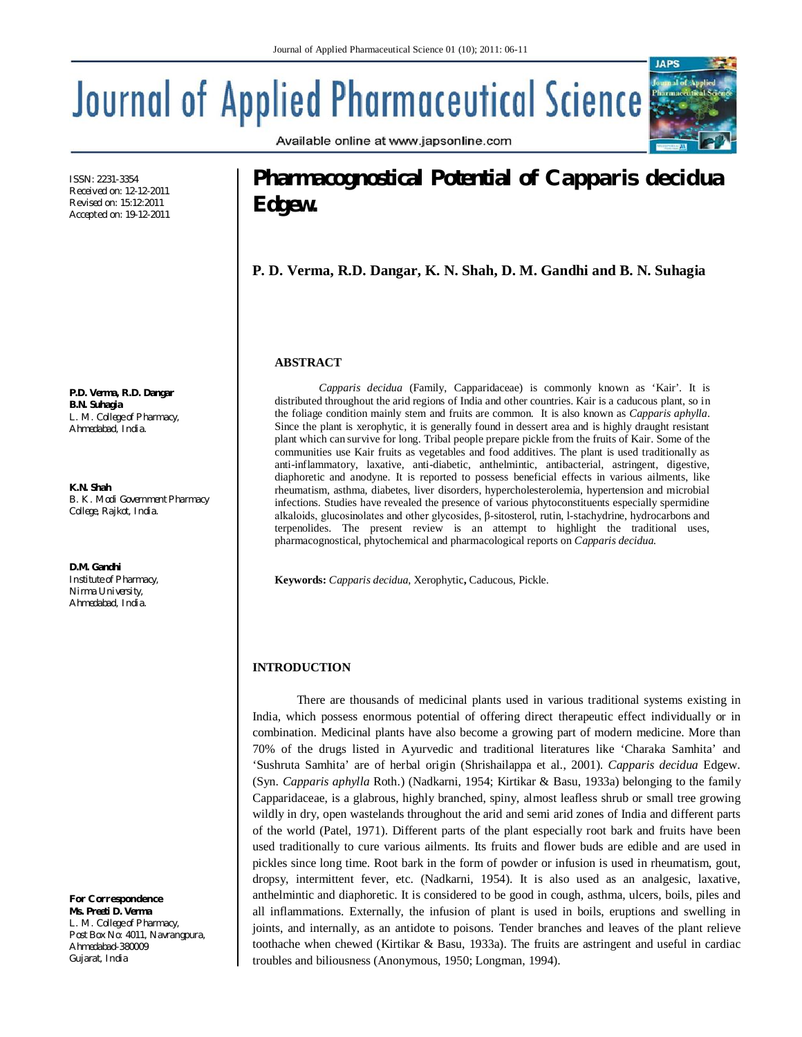Available online at www.japsonline.com

# **Journal of Applied Pharmaceutical Science**

ISSN: 2231-3354 Received on: 12-12-2011 Revised on: 15:12:2011 Accepted on: 19-12-2011

**P.D. Verma, R.D. Dangar B.N. Suhagia** *L. M. College of Pharmacy, Ahmedabad, India.*

**K.N. Shah** *B. K. Modi Government Pharmacy College, Rajkot, India.*

**D.M. Gandhi** *Institute of Pharmacy, Nirma University, Ahmedabad, India.*

*For Correspondence* **Ms. Preeti D. Verma** *L. M. College of Pharmacy, Post Box No: 4011, Navrangpura, Ahmedabad-380009 Gujarat, India*

# **Pharmacognostical Potential of** *Capparis decidua* **Edgew.**

**IAPS** 

**P. D. Verma, R.D. Dangar, K. N. Shah, D. M. Gandhi and B. N. Suhagia**

# **ABSTRACT**

*Capparis decidua* (Family, Capparidaceae) is commonly known as 'Kair'. It is distributed throughout the arid regions of India and other countries. Kair is a caducous plant, so in the foliage condition mainly stem and fruits are common. It is also known as *Capparis aphylla*. Since the plant is xerophytic, it is generally found in dessert area and is highly draught resistant plant which can survive for long. Tribal people prepare pickle from the fruits of Kair. Some of the communities use Kair fruits as vegetables and food additives. The plant is used traditionally as anti-inflammatory, laxative, anti-diabetic, anthelmintic, antibacterial, astringent, digestive, diaphoretic and anodyne. It is reported to possess beneficial effects in various ailments, like rheumatism, asthma, diabetes, liver disorders, hypercholesterolemia, hypertension and microbial infections. Studies have revealed the presence of various phytoconstituents especially spermidine alkaloids, glucosinolates and other glycosides, β-sitosterol, rutin, l-stachydrine, hydrocarbons and terpenolides. The present review is an attempt to highlight the traditional uses, pharmacognostical, phytochemical and pharmacological reports on *Capparis decidua.*

**Keywords:** *Capparis decidua*, Xerophytic**,** Caducous, Pickle.

# **INTRODUCTION**

There are thousands of medicinal plants used in various traditional systems existing in India, which possess enormous potential of offering direct therapeutic effect individually or in combination. Medicinal plants have also become a growing part of modern medicine. More than 70% of the drugs listed in Ayurvedic and traditional literatures like 'Charaka Samhita' and 'Sushruta Samhita' are of herbal origin (Shrishailappa et al., 2001). *Capparis decidua* Edgew. (Syn. *Capparis aphylla* Roth.) (Nadkarni, 1954; Kirtikar & Basu, 1933a) belonging to the family Capparidaceae, is a glabrous, highly branched, spiny, almost leafless shrub or small tree growing wildly in dry, open wastelands throughout the arid and semi arid zones of India and different parts of the world (Patel, 1971). Different parts of the plant especially root bark and fruits have been used traditionally to cure various ailments. Its fruits and flower buds are edible and are used in pickles since long time. Root bark in the form of powder or infusion is used in rheumatism, gout, dropsy, intermittent fever, etc. (Nadkarni, 1954). It is also used as an analgesic, laxative, anthelmintic and diaphoretic. It is considered to be good in cough, asthma, ulcers, boils, piles and all inflammations. Externally, the infusion of plant is used in boils, eruptions and swelling in joints, and internally, as an antidote to poisons. Tender branches and leaves of the plant relieve toothache when chewed (Kirtikar & Basu, 1933a). The fruits are astringent and useful in cardiac troubles and biliousness (Anonymous, 1950; Longman, 1994).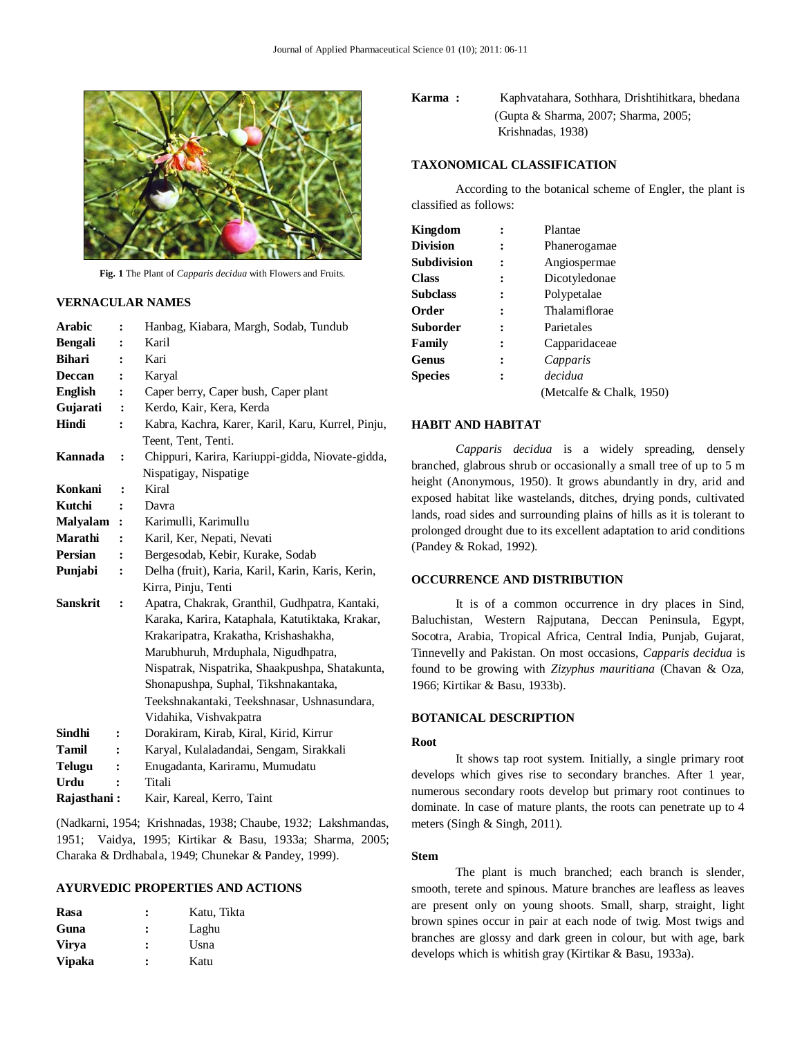

**Fig. 1** The Plant of *Capparis decidua* with Flowers and Fruits.

# **VERNACULAR NAMES**

| <b>Arabic</b>   | $\ddot{\cdot}$ | Hanbag, Kiabara, Margh, Sodab, Tundub             |
|-----------------|----------------|---------------------------------------------------|
| <b>Bengali</b>  | ፡              | Karil                                             |
| <b>Bihari</b>   | $\ddot{\cdot}$ | Kari                                              |
| <b>Deccan</b>   | $\ddot{\cdot}$ | Karyal                                            |
| <b>English</b>  | :              | Caper berry, Caper bush, Caper plant              |
| Gujarati        | :              | Kerdo, Kair, Kera, Kerda                          |
| Hindi           |                | Kabra, Kachra, Karer, Karil, Karu, Kurrel, Pinju, |
|                 |                | Teent, Tent, Tenti.                               |
| Kannada         | :              | Chippuri, Karira, Kariuppi-gidda, Niovate-gidda,  |
|                 |                | Nispatigay, Nispatige                             |
| Konkani         | $\ddot{\cdot}$ | Kiral                                             |
| Kutchi          | $\ddot{\cdot}$ | Davra                                             |
| <b>Malyalam</b> | $\ddot{\cdot}$ | Karimulli, Karimullu                              |
| Marathi         | $\ddot{\cdot}$ | Karil, Ker, Nepati, Nevati                        |
| <b>Persian</b>  | $\ddot{\cdot}$ | Bergesodab, Kebir, Kurake, Sodab                  |
| Punjabi         | $\ddot{\cdot}$ | Delha (fruit), Karia, Karil, Karin, Karis, Kerin, |
|                 |                | Kirra, Pinju, Tenti                               |
| <b>Sanskrit</b> | ፡              | Apatra, Chakrak, Granthil, Gudhpatra, Kantaki,    |
|                 |                | Karaka, Karira, Kataphala, Katutiktaka, Krakar,   |
|                 |                | Krakaripatra, Krakatha, Krishashakha,             |
|                 |                | Marubhuruh, Mrduphala, Nigudhpatra,               |
|                 |                | Nispatrak, Nispatrika, Shaakpushpa, Shatakunta,   |
|                 |                | Shonapushpa, Suphal, Tikshnakantaka,              |
|                 |                | Teekshnakantaki, Teekshnasar, Ushnasundara,       |
|                 |                | Vidahika, Vishvakpatra                            |
| Sindhi          | :              | Dorakiram, Kirab, Kiral, Kirid, Kirrur            |
| Tamil           | ፡              | Karyal, Kulaladandai, Sengam, Sirakkali           |
| <b>Telugu</b>   |                | Enugadanta, Kariramu, Mumudatu                    |
| Urdu            |                | Titali                                            |
| Raiasthani :    |                | Kair, Kareal, Kerro, Taint                        |

(Nadkarni, 1954; Krishnadas, 1938; Chaube, 1932; Lakshmandas, 1951; Vaidya, 1995; Kirtikar & Basu, 1933a; Sharma, 2005; Charaka & Drdhabala, 1949; Chunekar & Pandey, 1999).

# **AYURVEDIC PROPERTIES AND ACTIONS**

| Rasa          | : | Katu, Tikta |
|---------------|---|-------------|
| Guna          | : | Laghu       |
| <b>Virva</b>  | : | Usna        |
| <b>Vipaka</b> | ∶ | Katu        |

# **Karma :** Kaphvatahara, Sothhara, Drishtihitkara, bhedana (Gupta & Sharma, 2007; Sharma, 2005; Krishnadas, 1938)

# **TAXONOMICAL CLASSIFICATION**

According to the botanical scheme of Engler, the plant is classified as follows:

| Kingdom        |   | Plantae                  |
|----------------|---|--------------------------|
| Division       |   | Phanerogamae             |
| Subdivision    |   | Angiospermae             |
| Class          | ፡ | Dicotyledonae            |
| Subclass       | : | Polypetalae              |
| Order          | ፡ | Thalamiflorae            |
| Suborder       |   | Parietales               |
| Family         | : | Capparidaceae            |
| Genus          | ፡ | Capparis                 |
| <b>Species</b> | : | decidua                  |
|                |   | (Metcalfe & Chalk, 1950) |

#### **HABIT AND HABITAT**

*Capparis decidua* is a widely spreading, densely branched, glabrous shrub or occasionally a small tree of up to 5 m height (Anonymous, 1950). It grows abundantly in dry, arid and exposed habitat like wastelands, ditches, drying ponds, cultivated lands, road sides and surrounding plains of hills as it is tolerant to prolonged drought due to its excellent adaptation to arid conditions (Pandey & Rokad, 1992).

#### **OCCURRENCE AND DISTRIBUTION**

It is of a common occurrence in dry places in Sind, Baluchistan, Western Rajputana, Deccan Peninsula, Egypt, Socotra, Arabia, Tropical Africa, Central India, Punjab, Gujarat, Tinnevelly and Pakistan. On most occasions, *Capparis decidua* is found to be growing with *Zizyphus mauritiana* (Chavan & Oza, 1966; Kirtikar & Basu, 1933b).

# **BOTANICAL DESCRIPTION**

#### **Root**

It shows tap root system. Initially, a single primary root develops which gives rise to secondary branches. After 1 year, numerous secondary roots develop but primary root continues to dominate. In case of mature plants, the roots can penetrate up to 4 meters (Singh & Singh, 2011).

#### **Stem**

The plant is much branched; each branch is slender, smooth, terete and spinous. Mature branches are leafless as leaves are present only on young shoots. Small, sharp, straight, light brown spines occur in pair at each node of twig. Most twigs and branches are glossy and dark green in colour, but with age, bark develops which is whitish gray (Kirtikar & Basu, 1933a).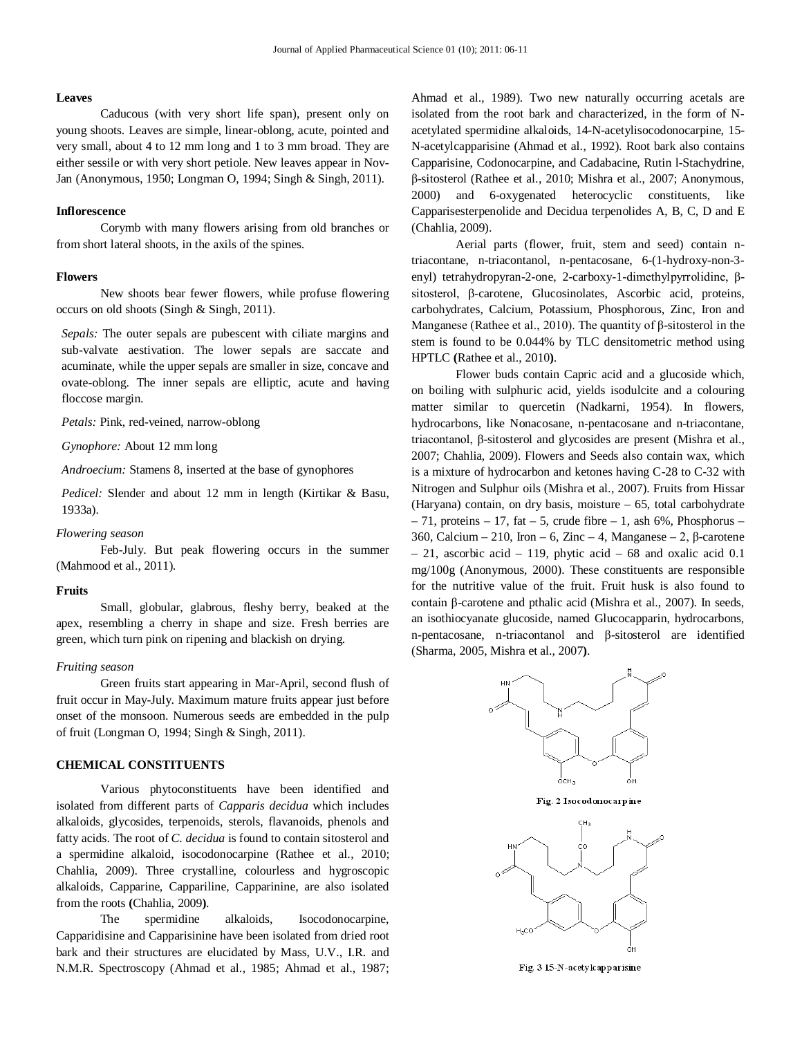#### **Leaves**

Caducous (with very short life span), present only on young shoots. Leaves are simple, linear-oblong, acute, pointed and very small, about 4 to 12 mm long and 1 to 3 mm broad. They are either sessile or with very short petiole. New leaves appear in Nov-Jan (Anonymous, 1950; Longman O, 1994; Singh & Singh, 2011).

#### **Inflorescence**

Corymb with many flowers arising from old branches or from short lateral shoots, in the axils of the spines.

#### **Flowers**

New shoots bear fewer flowers, while profuse flowering occurs on old shoots (Singh & Singh, 2011).

*Sepals:* The outer sepals are pubescent with ciliate margins and sub-valvate aestivation. The lower sepals are saccate and acuminate, while the upper sepals are smaller in size, concave and ovate-oblong. The inner sepals are elliptic, acute and having floccose margin.

*Petals:* Pink, red-veined, narrow-oblong

*Gynophore:* About 12 mm long

*Androecium:* Stamens 8, inserted at the base of gynophores

*Pedicel:* Slender and about 12 mm in length (Kirtikar & Basu, 1933a).

#### *Flowering season*

Feb-July. But peak flowering occurs in the summer (Mahmood et al., 2011).

#### **Fruits**

Small, globular, glabrous, fleshy berry, beaked at the apex, resembling a cherry in shape and size. Fresh berries are green, which turn pink on ripening and blackish on drying.

#### *Fruiting season*

Green fruits start appearing in Mar-April, second flush of fruit occur in May-July. Maximum mature fruits appear just before onset of the monsoon. Numerous seeds are embedded in the pulp of fruit (Longman O, 1994; Singh & Singh, 2011).

# **CHEMICAL CONSTITUENTS**

Various phytoconstituents have been identified and isolated from different parts of *Capparis decidua* which includes alkaloids, glycosides, terpenoids, sterols, flavanoids, phenols and fatty acids. The root of *C. decidua* is found to contain sitosterol and a spermidine alkaloid, isocodonocarpine (Rathee et al., 2010; Chahlia, 2009). Three crystalline, colourless and hygroscopic alkaloids, Capparine, Cappariline, Capparinine, are also isolated from the roots **(**Chahlia, 2009**)**.

The spermidine alkaloids, Isocodonocarpine, Capparidisine and Capparisinine have been isolated from dried root bark and their structures are elucidated by Mass, U.V., I.R. and N.M.R. Spectroscopy (Ahmad et al., 1985; Ahmad et al., 1987; Ahmad et al., 1989). Two new naturally occurring acetals are isolated from the root bark and characterized, in the form of Nacetylated spermidine alkaloids, 14-N-acetylisocodonocarpine, 15- N-acetylcapparisine (Ahmad et al., 1992). Root bark also contains Capparisine, Codonocarpine, and Cadabacine, Rutin l-Stachydrine, β-sitosterol (Rathee et al., 2010; Mishra et al., 2007; Anonymous, 2000) and 6-oxygenated heterocyclic constituents, like Capparisesterpenolide and Decidua terpenolides A, B, C, D and E (Chahlia, 2009).

Aerial parts (flower, fruit, stem and seed) contain ntriacontane, n-triacontanol, n-pentacosane, 6-(1-hydroxy-non-3 enyl) tetrahydropyran-2-one, 2-carboxy-1-dimethylpyrrolidine, βsitosterol, β-carotene, Glucosinolates, Ascorbic acid, proteins, carbohydrates, Calcium, Potassium, Phosphorous, Zinc, Iron and Manganese (Rathee et al., 2010). The quantity of  $\beta$ -sitosterol in the stem is found to be 0.044% by TLC densitometric method using HPTLC **(**Rathee et al., 2010**)**.

Flower buds contain Capric acid and a glucoside which, on boiling with sulphuric acid, yields isodulcite and a colouring matter similar to quercetin (Nadkarni, 1954). In flowers, hydrocarbons, like Nonacosane, n-pentacosane and n-triacontane, triacontanol, β-sitosterol and glycosides are present (Mishra et al., 2007; Chahlia, 2009). Flowers and Seeds also contain wax, which is a mixture of hydrocarbon and ketones having C-28 to C-32 with Nitrogen and Sulphur oils (Mishra et al., 2007). Fruits from Hissar (Haryana) contain, on dry basis, moisture – 65, total carbohydrate  $-71$ , proteins  $-17$ , fat  $-5$ , crude fibre  $-1$ , ash 6%, Phosphorus  $-$ 360, Calcium – 210, Iron – 6, Zinc – 4, Manganese – 2, β-carotene  $-21$ , ascorbic acid  $-119$ , phytic acid  $-68$  and oxalic acid 0.1 mg/100g (Anonymous, 2000). These constituents are responsible for the nutritive value of the fruit. Fruit husk is also found to contain β-carotene and pthalic acid (Mishra et al., 2007). In seeds, an isothiocyanate glucoside, named Glucocapparin, hydrocarbons, n-pentacosane, n-triacontanol and β-sitosterol are identified (Sharma, 2005, Mishra et al., 2007**)**.

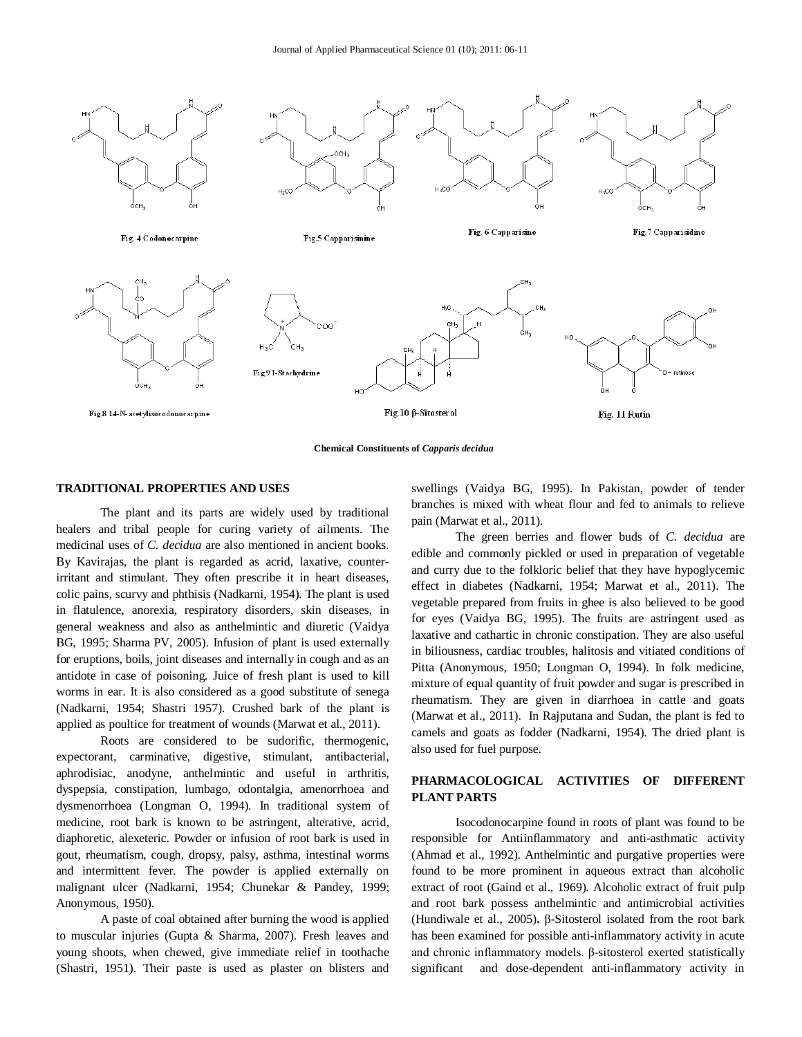

**Chemical Constituents of** *Capparis decidua*

#### **TRADITIONAL PROPERTIES AND USES**

The plant and its parts are widely used by traditional healers and tribal people for curing variety of ailments. The medicinal uses of *C. decidua* are also mentioned in ancient books. By Kavirajas, the plant is regarded as acrid, laxative, counterirritant and stimulant. They often prescribe it in heart diseases, colic pains, scurvy and phthisis (Nadkarni, 1954). The plant is used in flatulence, anorexia, respiratory disorders, skin diseases, in general weakness and also as anthelmintic and diuretic (Vaidya BG, 1995; Sharma PV, 2005). Infusion of plant is used externally for eruptions, boils, joint diseases and internally in cough and as an antidote in case of poisoning. Juice of fresh plant is used to kill worms in ear. It is also considered as a good substitute of senega (Nadkarni, 1954; Shastri 1957). Crushed bark of the plant is applied as poultice for treatment of wounds (Marwat et al., 2011).

Roots are considered to be sudorific, thermogenic, expectorant, carminative, digestive, stimulant, antibacterial, aphrodisiac, anodyne, anthelmintic and useful in arthritis, dyspepsia, constipation, lumbago, odontalgia, amenorrhoea and dysmenorrhoea (Longman O, 1994). In traditional system of medicine, root bark is known to be astringent, alterative, acrid, diaphoretic, alexeteric. Powder or infusion of root bark is used in gout, rheumatism, cough, dropsy, palsy, asthma, intestinal worms and intermittent fever. The powder is applied externally on malignant ulcer (Nadkarni, 1954; Chunekar & Pandey, 1999; Anonymous, 1950).

A paste of coal obtained after burning the wood is applied to muscular injuries (Gupta & Sharma, 2007). Fresh leaves and young shoots, when chewed, give immediate relief in toothache (Shastri, 1951). Their paste is used as plaster on blisters and

swellings (Vaidya BG, 1995). In Pakistan, powder of tender branches is mixed with wheat flour and fed to animals to relieve pain (Marwat et al., 2011).

The green berries and flower buds of *C. decidua* are edible and commonly pickled or used in preparation of vegetable and curry due to the folkloric belief that they have hypoglycemic effect in diabetes (Nadkarni, 1954; Marwat et al., 2011). The vegetable prepared from fruits in ghee is also believed to be good for eyes (Vaidya BG, 1995). The fruits are astringent used as laxative and cathartic in chronic constipation. They are also useful in biliousness, cardiac troubles, halitosis and vitiated conditions of Pitta (Anonymous, 1950; Longman O, 1994). In folk medicine, mixture of equal quantity of fruit powder and sugar is prescribed in rheumatism. They are given in diarrhoea in cattle and goats (Marwat et al., 2011). In Rajputana and Sudan, the plant is fed to camels and goats as fodder (Nadkarni, 1954). The dried plant is also used for fuel purpose.

# **PHARMACOLOGICAL ACTIVITIES OF DIFFERENT PLANT PARTS**

Isocodonocarpine found in roots of plant was found to be responsible for Antiinflammatory and anti-asthmatic activity (Ahmad et al., 1992). Anthelmintic and purgative properties were found to be more prominent in aqueous extract than alcoholic extract of root (Gaind et al., 1969). Alcoholic extract of fruit pulp and root bark possess anthelmintic and antimicrobial activities (Hundiwale et al., 2005)**.** β-Sitosterol isolated from the root bark has been examined for possible anti-inflammatory activity in acute and chronic inflammatory models. β-sitosterol exerted statistically significant and dose-dependent anti-inflammatory activity in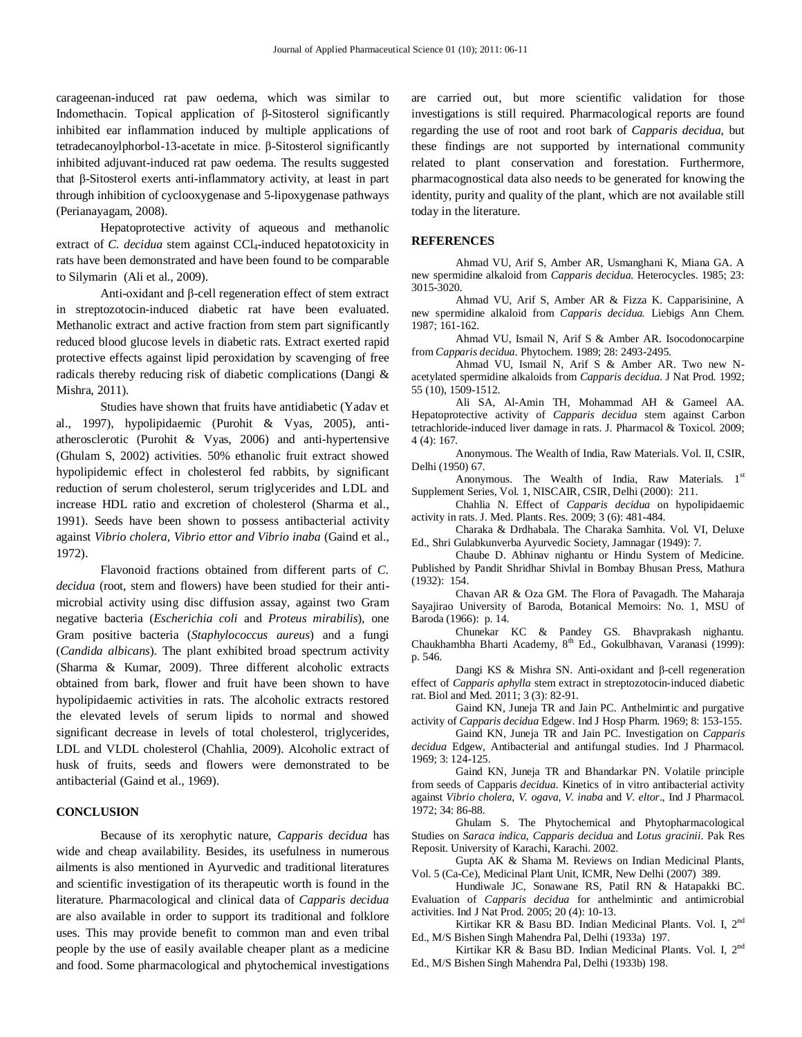carageenan-induced rat paw oedema, which was similar to Indomethacin. Topical application of β-Sitosterol significantly inhibited ear inflammation induced by multiple applications of tetradecanoylphorbol-13-acetate in mice. β-Sitosterol significantly inhibited adjuvant-induced rat paw oedema. The results suggested that β-Sitosterol exerts anti-inflammatory activity, at least in part through inhibition of cyclooxygenase and 5-lipoxygenase pathways (Perianayagam, 2008).

Hepatoprotective activity of aqueous and methanolic extract of *C. decidua* stem against CCl<sub>4</sub>-induced hepatotoxicity in rats have been demonstrated and have been found to be comparable to Silymarin (Ali et al., 2009).

Anti-oxidant and β-cell regeneration effect of stem extract in streptozotocin-induced diabetic rat have been evaluated. Methanolic extract and active fraction from stem part significantly reduced blood glucose levels in diabetic rats. Extract exerted rapid protective effects against lipid peroxidation by scavenging of free radicals thereby reducing risk of diabetic complications (Dangi & Mishra, 2011).

Studies have shown that fruits have antidiabetic (Yadav et al., 1997), hypolipidaemic (Purohit & Vyas, 2005), antiatherosclerotic (Purohit & Vyas, 2006) and anti-hypertensive (Ghulam S, 2002) activities. 50% ethanolic fruit extract showed hypolipidemic effect in cholesterol fed rabbits, by significant reduction of serum cholesterol, serum triglycerides and LDL and increase HDL ratio and excretion of cholesterol (Sharma et al., 1991). Seeds have been shown to possess antibacterial activity against *Vibrio cholera, Vibrio ettor and Vibrio inaba* (Gaind et al., 1972).

Flavonoid fractions obtained from different parts of *C. decidua* (root, stem and flowers) have been studied for their antimicrobial activity using disc diffusion assay, against two Gram negative bacteria (*Escherichia coli* and *Proteus mirabilis*), one Gram positive bacteria (*Staphylococcus aureus*) and a fungi (*Candida albicans*). The plant exhibited broad spectrum activity (Sharma & Kumar, 2009). Three different alcoholic extracts obtained from bark, flower and fruit have been shown to have hypolipidaemic activities in rats. The alcoholic extracts restored the elevated levels of serum lipids to normal and showed significant decrease in levels of total cholesterol, triglycerides, LDL and VLDL cholesterol (Chahlia, 2009). Alcoholic extract of husk of fruits, seeds and flowers were demonstrated to be antibacterial (Gaind et al., 1969).

#### **CONCLUSION**

Because of its xerophytic nature, *Capparis decidua* has wide and cheap availability. Besides, its usefulness in numerous ailments is also mentioned in Ayurvedic and traditional literatures and scientific investigation of its therapeutic worth is found in the literature. Pharmacological and clinical data of *Capparis decidua* are also available in order to support its traditional and folklore uses. This may provide benefit to common man and even tribal people by the use of easily available cheaper plant as a medicine and food. Some pharmacological and phytochemical investigations

are carried out, but more scientific validation for those investigations is still required. Pharmacological reports are found regarding the use of root and root bark of *Capparis decidua*, but these findings are not supported by international community related to plant conservation and forestation. Furthermore, pharmacognostical data also needs to be generated for knowing the identity, purity and quality of the plant, which are not available still today in the literature.

#### **REFERENCES**

Ahmad VU, Arif S, Amber AR, Usmanghani K, Miana GA. A new spermidine alkaloid from *Capparis decidua.* Heterocycles. 1985; 23: 3015-3020.

Ahmad VU, Arif S, Amber AR & Fizza K. Capparisinine, A new spermidine alkaloid from *Capparis decidua.* Liebigs Ann Chem. 1987; 161-162.

Ahmad VU, Ismail N, Arif S & Amber AR. Isocodonocarpine from *Capparis decidua*. Phytochem. 1989; 28: 2493-2495.

Ahmad VU, Ismail N, Arif S & Amber AR. Two new Nacetylated spermidine alkaloids from *Capparis decidua*. J Nat Prod. 1992; 55 (10), 1509-1512.

Ali SA, Al-Amin TH, Mohammad AH & Gameel AA. Hepatoprotective activity of *Capparis decidua* stem against Carbon tetrachloride-induced liver damage in rats. J. Pharmacol & Toxicol. 2009; 4 (4): 167.

Anonymous. The Wealth of India, Raw Materials. Vol. II, CSIR, Delhi (1950) 67.

Anonymous. The Wealth of India, Raw Materials. 1st Supplement Series, Vol. 1, NISCAIR, CSIR, Delhi (2000): 211.

Chahlia N. Effect of *Capparis decidua* on hypolipidaemic activity in rats. J. Med. Plants. Res. 2009; 3 (6): 481-484.

Charaka & Drdhabala. The Charaka Samhita. Vol. VI, Deluxe Ed., Shri Gulabkunverba Ayurvedic Society, Jamnagar (1949): 7.

Chaube D. Abhinav nighantu or Hindu System of Medicine. Published by Pandit Shridhar Shivlal in Bombay Bhusan Press, Mathura (1932): 154.

Chavan AR & Oza GM. The Flora of Pavagadh. The Maharaja Sayajirao University of Baroda, Botanical Memoirs: No. 1, MSU of Baroda (1966): p. 14.

Chunekar KC & Pandey GS. Bhavprakash nighantu. Chaukhambha Bharti Academy, 8<sup>th</sup> Ed., Gokulbhavan, Varanasi (1999): p. 546.

Dangi KS & Mishra SN. Anti-oxidant and β-cell regeneration effect of *Capparis aphylla* stem extract in streptozotocin-induced diabetic rat. Biol and Med. 2011; 3 (3): 82-91.

Gaind KN, Juneja TR and Jain PC. Anthelmintic and purgative activity of *Capparis decidua* Edgew. Ind J Hosp Pharm. 1969; 8: 153-155.

Gaind KN, Juneja TR and Jain PC. Investigation on *Capparis decidua* Edgew, Antibacterial and antifungal studies. Ind J Pharmacol. 1969; 3: 124-125.

Gaind KN, Juneja TR and Bhandarkar PN. Volatile principle from seeds of Capparis *decidua*. Kinetics of in vitro antibacterial activity against *Vibrio cholera*, *V. ogava*, *V. inaba* and *V. eltor*., Ind J Pharmacol. 1972; 34: 86-88.

Ghulam S. The Phytochemical and Phytopharmacological Studies on *Saraca indica*, *Capparis decidua* and *Lotus gracinii*. Pak Res Reposit. University of Karachi, Karachi. 2002.

Gupta AK & Shama M. Reviews on Indian Medicinal Plants, Vol. 5 (Ca-Ce), Medicinal Plant Unit, ICMR, New Delhi (2007) 389.

Hundiwale JC, Sonawane RS, Patil RN & Hatapakki BC. Evaluation of *Capparis decidua* for anthelmintic and antimicrobial activities. Ind J Nat Prod. 2005; 20 (4): 10-13.

Kirtikar KR & Basu BD. Indian Medicinal Plants. Vol. I, 2nd Ed., M/S Bishen Singh Mahendra Pal, Delhi (1933a) 197.

Kirtikar KR & Basu BD. Indian Medicinal Plants. Vol. I, 2nd Ed., M/S Bishen Singh Mahendra Pal, Delhi (1933b) 198.